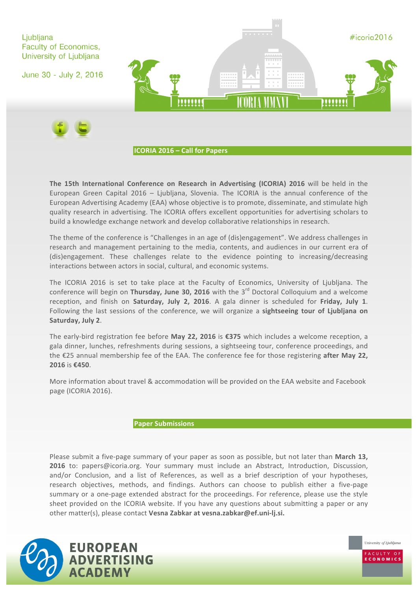

**The 15th International Conference on Research in Advertising (ICORIA) 2016 will be held in the** European Green Capital  $2016 - Ljubljana$ , Slovenia. The ICORIA is the annual conference of the European Advertising Academy (EAA) whose objective is to promote, disseminate, and stimulate high quality research in advertising. The ICORIA offers excellent opportunities for advertising scholars to build a knowledge exchange network and develop collaborative relationships in research.

The theme of the conference is "Challenges in an age of (dis)engagement". We address challenges in research and management pertaining to the media, contents, and audiences in our current era of (dis)engagement. These challenges relate to the evidence pointing to increasing/decreasing interactions between actors in social, cultural, and economic systems.

The ICORIA 2016 is set to take place at the Faculty of Economics, University of Ljubljana. The conference will begin on **Thursday, June 30, 2016** with the 3<sup>rd</sup> Doctoral Colloquium and a welcome reception, and finish on **Saturday, July 2, 2016**. A gala dinner is scheduled for Friday, July 1. Following the last sessions of the conference, we will organize a sightseeing tour of Ljubljana on **Saturday, July 2**.

The early-bird registration fee before **May 22, 2016** is €375 which includes a welcome reception, a gala dinner, lunches, refreshments during sessions, a sightseeing tour, conference proceedings, and the €25 annual membership fee of the EAA. The conference fee for those registering after May 22, **2016** is €450.

More information about travel & accommodation will be provided on the EAA website and Facebook page (ICORIA 2016).

# **Paper Submissions**

Please submit a five-page summary of your paper as soon as possible, but not later than March 13, **2016** to: papers@icoria.org. Your summary must include an Abstract, Introduction, Discussion, and/or Conclusion, and a list of References, as well as a brief description of your hypotheses, research objectives, methods, and findings. Authors can choose to publish either a five-page summary or a one-page extended abstract for the proceedings. For reference, please use the style sheet provided on the ICORIA website. If you have any questions about submitting a paper or any other matter(s), please contact Vesna Zabkar at vesna.zabkar@ef.uni-lj.si.

University of Ljubljana

**CONOMICS** 

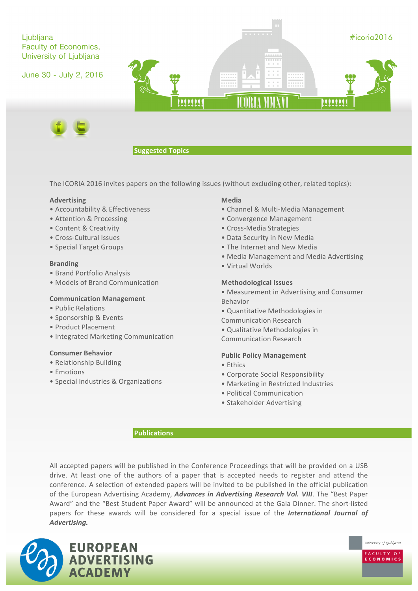

## **Suggested Topics**

The ICORIA 2016 invites papers on the following issues (without excluding other, related topics):

### **Advertising**

- Accountability & Effectiveness
- Attention & Processing
- Content & Creativity
- Cross-Cultural Issues
- Special Target Groups

### **Branding**

- Brand Portfolio Analysis
- Models of Brand Communication

### **Communication Management**

- Public Relations
- Sponsorship & Events
- Product Placement
- Integrated Marketing Communication

### **Consumer Behavior**

- Relationship Building
- • Emotions
- Special Industries & Organizations

#### **Media**

- Channel & Multi-Media Management
- Convergence Management
- Cross-Media Strategies
- Data Security in New Media
- The Internet and New Media
- Media Management and Media Advertising
- • Virtual Worlds

#### **Methodological Issues**

- Measurement in Advertising and Consumer Behavior
- Quantitative Methodologies in Communication Research
- Qualitative Methodologies in

#### **Public Policy Management**

Communication Research 

- • Ethics
- Corporate Social Responsibility
- Marketing in Restricted Industries

University of Ljubljana

CONOMICS

- Political Communication
- Stakeholder Advertising

### **Publications**

All accepted papers will be published in the Conference Proceedings that will be provided on a USB drive. At least one of the authors of a paper that is accepted needs to register and attend the conference. A selection of extended papers will be invited to be published in the official publication of the European Advertising Academy, *Advances in Advertising Research Vol. VIII*. The "Best Paper Award" and the "Best Student Paper Award" will be announced at the Gala Dinner. The short-listed papers for these awards will be considered for a special issue of the *International Journal of Advertising.*

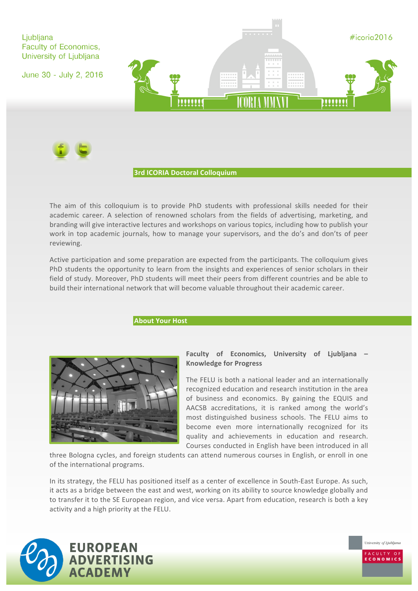



### **3rd ICORIA Doctoral Colloquium**

The aim of this colloquium is to provide PhD students with professional skills needed for their academic career. A selection of renowned scholars from the fields of advertising, marketing, and branding will give interactive lectures and workshops on various topics, including how to publish your work in top academic journals, how to manage your supervisors, and the do's and don'ts of peer reviewing.

Active participation and some preparation are expected from the participants. The colloquium gives PhD students the opportunity to learn from the insights and experiences of senior scholars in their field of study. Moreover, PhD students will meet their peers from different countries and be able to build their international network that will become valuable throughout their academic career.

## **About Your Host**



# **Faculty** of Economics, University of Ljubljana **Knowledge for Progress**

The FELU is both a national leader and an internationally recognized education and research institution in the area of business and economics. By gaining the EQUIS and AACSB accreditations, it is ranked among the world's most distinguished business schools. The FELU aims to become even more internationally recognized for its quality and achievements in education and research. Courses conducted in English have been introduced in all

three Bologna cycles, and foreign students can attend numerous courses in English, or enroll in one of the international programs.

In its strategy, the FELU has positioned itself as a center of excellence in South-East Europe. As such, it acts as a bridge between the east and west, working on its ability to source knowledge globally and to transfer it to the SE European region, and vice versa. Apart from education, research is both a key activity and a high priority at the FELU.



University of Ljubljana CONOMICS